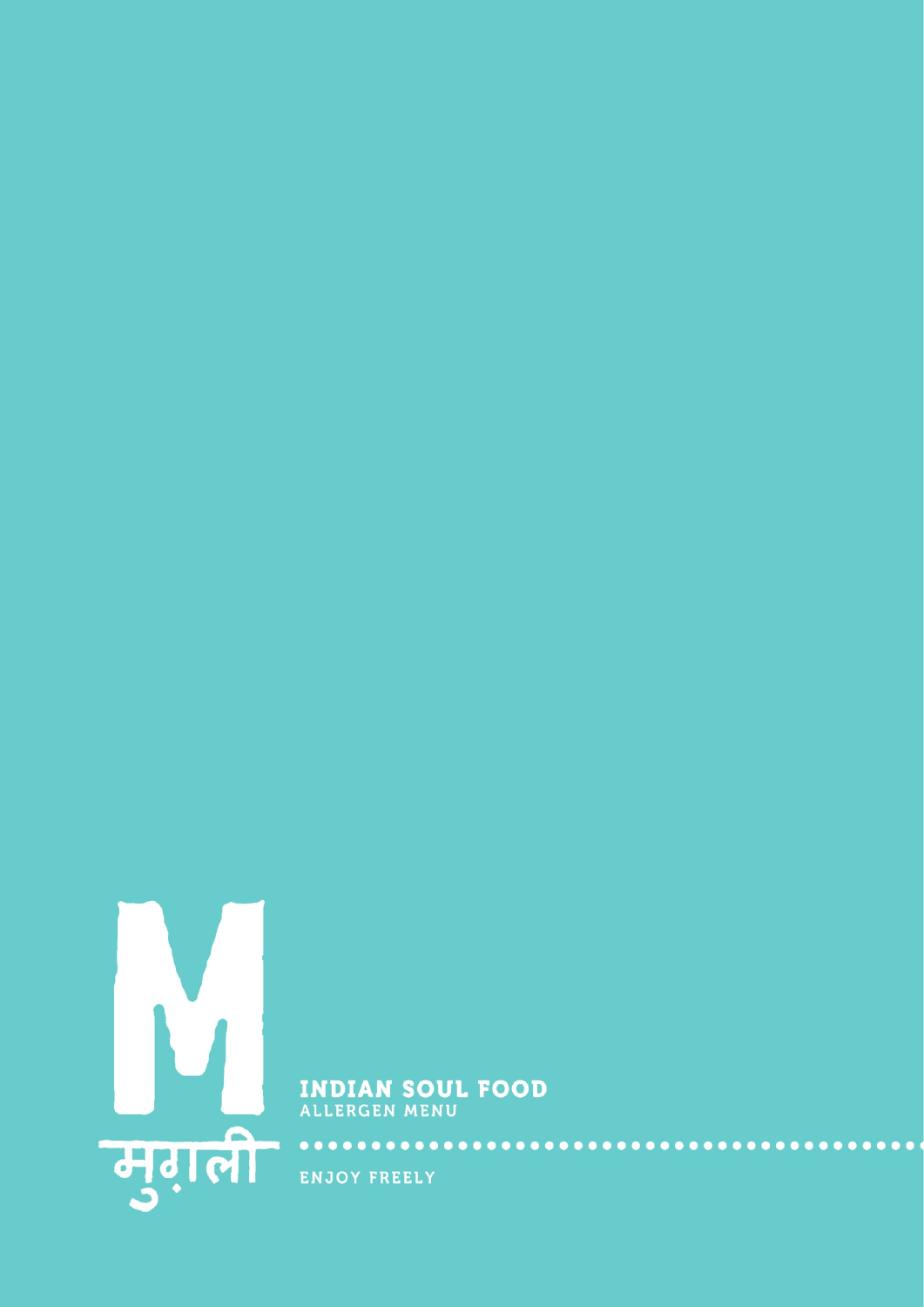

**INDIAN SOUL FOOD**<br>ALLERGEN MENU

ENJOY FREELY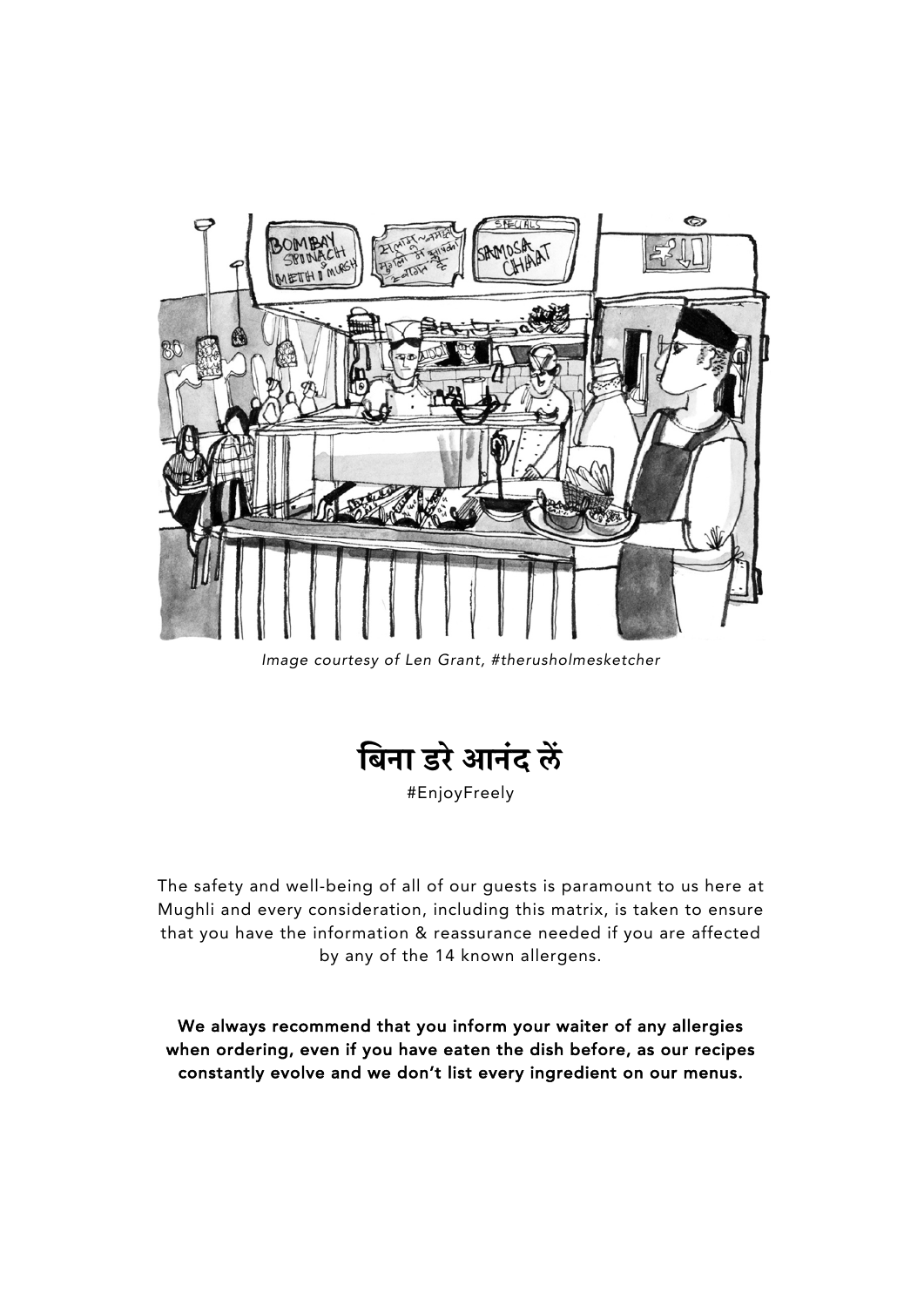

*Image courtesy of Len Grant, #therusholmesketcher*



#EnjoyFreely

The safety and well-being of all of our guests is paramount to us here at Mughli and every consideration, including this matrix, is taken to ensure that you have the information & reassurance needed if you are affected by any of the 14 known allergens.

We always recommend that you inform your waiter of any allergies when ordering, even if you have eaten the dish before, as our recipes constantly evolve and we don't list every ingredient on our menus.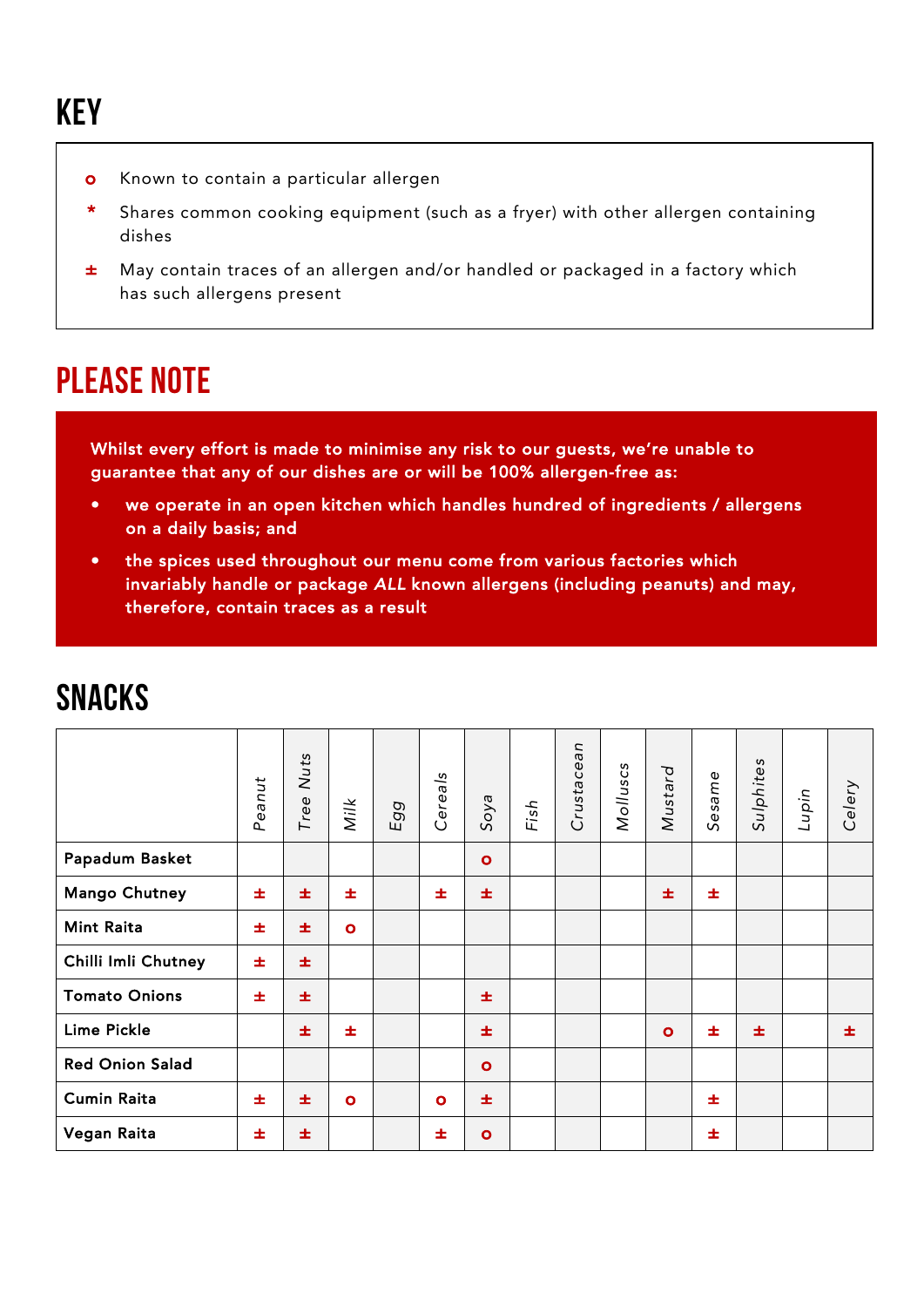- **o** Known to contain a particular allergen
- \* Shares common cooking equipment (such as a fryer) with other allergen containing dishes
- ± May contain traces of an allergen and/or handled or packaged in a factory which has such allergens present

## PLEASE NOTE

Whilst every effort is made to minimise any risk to our guests, we're unable to guarantee that any of our dishes are or will be 100% allergen-free as:

- we operate in an open kitchen which handles hundred of ingredients / allergens on a daily basis; and
- the spices used throughout our menu come from various factories which invariably handle or package *ALL* known allergens (including peanuts) and may, therefore, contain traces as a result

|                        | Peanut | Nuts<br>Tree | Milk      | Egg | Cereals   | Soya         | Fish | Crustacean | Molluscs | Mustard | Sesame | Sulphites | Lupin | Celery |
|------------------------|--------|--------------|-----------|-----|-----------|--------------|------|------------|----------|---------|--------|-----------|-------|--------|
| Papadum Basket         |        |              |           |     |           | $\mathbf{o}$ |      |            |          |         |        |           |       |        |
| <b>Mango Chutney</b>   | 士      | 士            | 士         |     | 士         | 士            |      |            |          | 士       | 士      |           |       |        |
| <b>Mint Raita</b>      | 士      | 士            | $\bullet$ |     |           |              |      |            |          |         |        |           |       |        |
| Chilli Imli Chutney    | 士      | 士            |           |     |           |              |      |            |          |         |        |           |       |        |
| <b>Tomato Onions</b>   | 士      | 士            |           |     |           | 士            |      |            |          |         |        |           |       |        |
| <b>Lime Pickle</b>     |        | 士            | 士         |     |           | 士            |      |            |          | $\circ$ | 士      | 士         |       | 士      |
| <b>Red Onion Salad</b> |        |              |           |     |           | $\mathbf{o}$ |      |            |          |         |        |           |       |        |
| <b>Cumin Raita</b>     | 士      | 士            | $\bullet$ |     | $\bullet$ | 士            |      |            |          |         | 士      |           |       |        |
| Vegan Raita            | 士      | 士            |           |     | 士         | $\bullet$    |      |            |          |         | 士      |           |       |        |

## **SNACKS**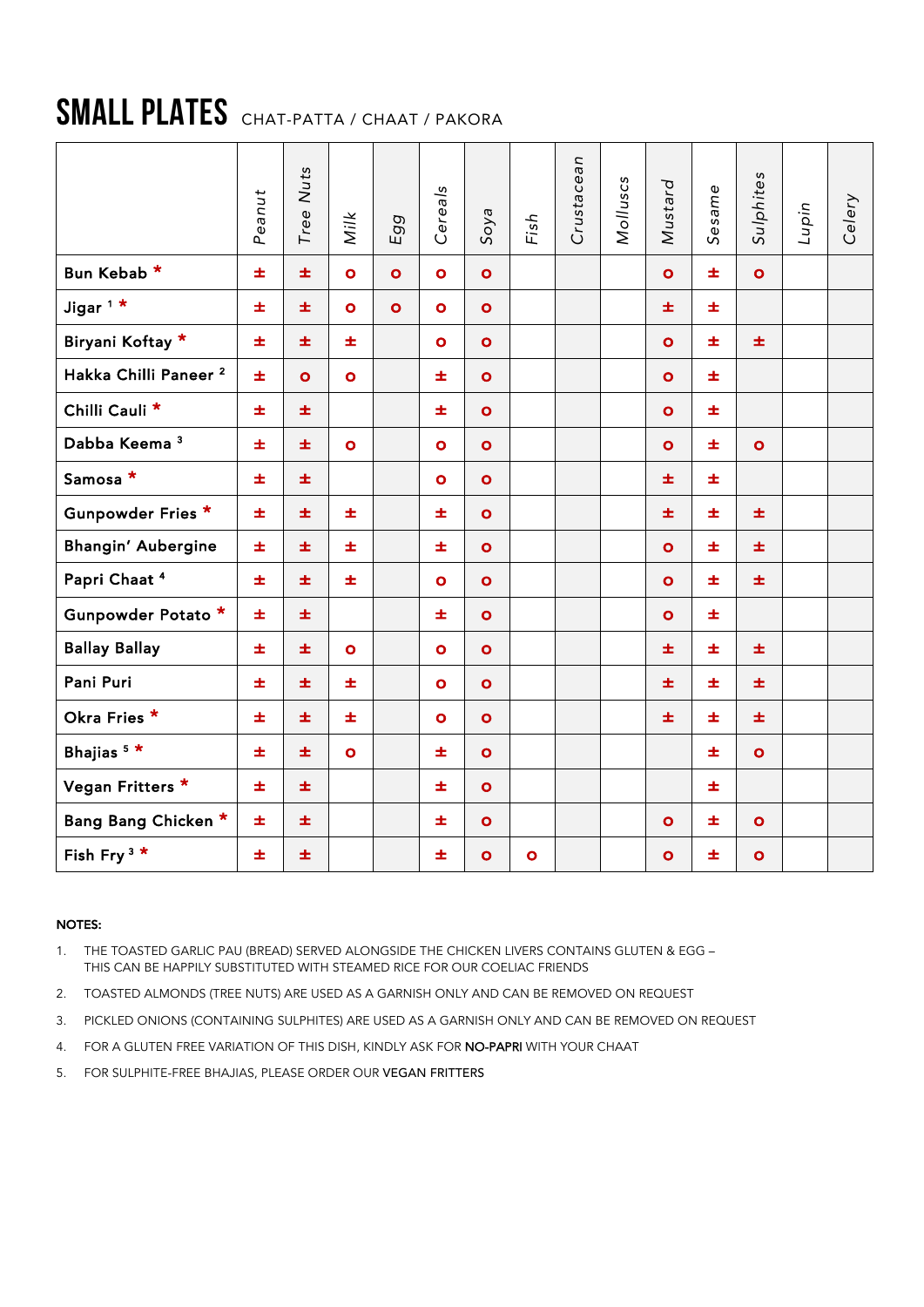# SMALL PLATES CHAT-PATTA / CHAAT / PAKORA

|                                  | Peanut | Nuts<br>Tree | Milk      | Egg       | Cereals   | Soya         | Fish      | Crustacean | Molluscs | Mustard      | Sesame | Sulphites    | Lupin | Celery |
|----------------------------------|--------|--------------|-----------|-----------|-----------|--------------|-----------|------------|----------|--------------|--------|--------------|-------|--------|
| Bun Kebab *                      | ±.     | 士            | $\bullet$ | $\bullet$ | $\bullet$ | $\bullet$    |           |            |          | $\bullet$    | 士      | $\bullet$    |       |        |
| Jigar $1$ *                      | ±.     | 士            | $\bullet$ | $\bullet$ | $\bullet$ | $\bullet$    |           |            |          | 士            | 士      |              |       |        |
| Biryani Koftay *                 | ±.     | 士            | Ŧ.        |           | $\bullet$ | $\bullet$    |           |            |          | $\bullet$    | 士      | 士            |       |        |
| Hakka Chilli Paneer <sup>2</sup> | 士      | $\bullet$    | $\bullet$ |           | 士         | $\bullet$    |           |            |          | $\bullet$    | 士      |              |       |        |
| Chilli Cauli <sup>*</sup>        | 士。     | ±.           |           |           | 士         | $\bullet$    |           |            |          | $\bullet$    | 士      |              |       |        |
| Dabba Keema <sup>3</sup>         | ±.     | 士            | $\bullet$ |           | $\bullet$ | $\mathbf{o}$ |           |            |          | $\mathbf{o}$ | 士      | $\mathbf{o}$ |       |        |
| Samosa *                         | ±.     | 士            |           |           | $\bullet$ | $\bullet$    |           |            |          | 士            | 士      |              |       |        |
| Gunpowder Fries *                | 士      | 士            | 士         |           | 士         | $\bullet$    |           |            |          | 士            | 士      | 士            |       |        |
| Bhangin' Aubergine               | ±.     | 士            | ±.        |           | 士         | $\bullet$    |           |            |          | $\bullet$    | 士      | 士            |       |        |
| Papri Chaat <sup>4</sup>         | ±.     | 士            | ±.        |           | $\bullet$ | $\bullet$    |           |            |          | $\bullet$    | 士      | 玉            |       |        |
| Gunpowder Potato *               | ±.     | 士            |           |           | 士         | $\bullet$    |           |            |          | $\bullet$    | 士      |              |       |        |
| <b>Ballay Ballay</b>             | ±.     | 士            | $\bullet$ |           | $\bullet$ | $\bullet$    |           |            |          | 士            | 士      | 士            |       |        |
| Pani Puri                        | ±.     | 士            | ±.        |           | $\bullet$ | $\bullet$    |           |            |          | 士            | 士      | ±.           |       |        |
| Okra Fries *                     | ±      | 士            | 士         |           | $\bullet$ | $\bullet$    |           |            |          | 士            | 士      | 玉            |       |        |
| Bhajias $5*$                     | ±.     | 士            | $\bullet$ |           | 士         | $\bullet$    |           |            |          |              | 士      | $\bullet$    |       |        |
| Vegan Fritters *                 | 士      | 士            |           |           | 士         | $\bullet$    |           |            |          |              | 士      |              |       |        |
| Bang Bang Chicken *              | ±.     | 士            |           |           | ±.        | $\bullet$    |           |            |          | $\bullet$    | 士      | $\bullet$    |       |        |
| Fish Fry <sup>3 *</sup>          | ±.     | 士            |           |           | 士         | $\bullet$    | $\bullet$ |            |          | $\bullet$    | 士      | $\bullet$    |       |        |

### NOTES:

1. THE TOASTED GARLIC PAU (BREAD) SERVED ALONGSIDE THE CHICKEN LIVERS CONTAINS GLUTEN & EGG – THIS CAN BE HAPPILY SUBSTITUTED WITH STEAMED RICE FOR OUR COELIAC FRIENDS

- 2. TOASTED ALMONDS (TREE NUTS) ARE USED AS A GARNISH ONLY AND CAN BE REMOVED ON REQUEST
- 3. PICKLED ONIONS (CONTAINING SULPHITES) ARE USED AS A GARNISH ONLY AND CAN BE REMOVED ON REQUEST
- 4. FOR A GLUTEN FREE VARIATION OF THIS DISH, KINDLY ASK FOR NO-PAPRI WITH YOUR CHAAT
- 5. FOR SULPHITE-FREE BHAJIAS, PLEASE ORDER OUR VEGAN FRITTERS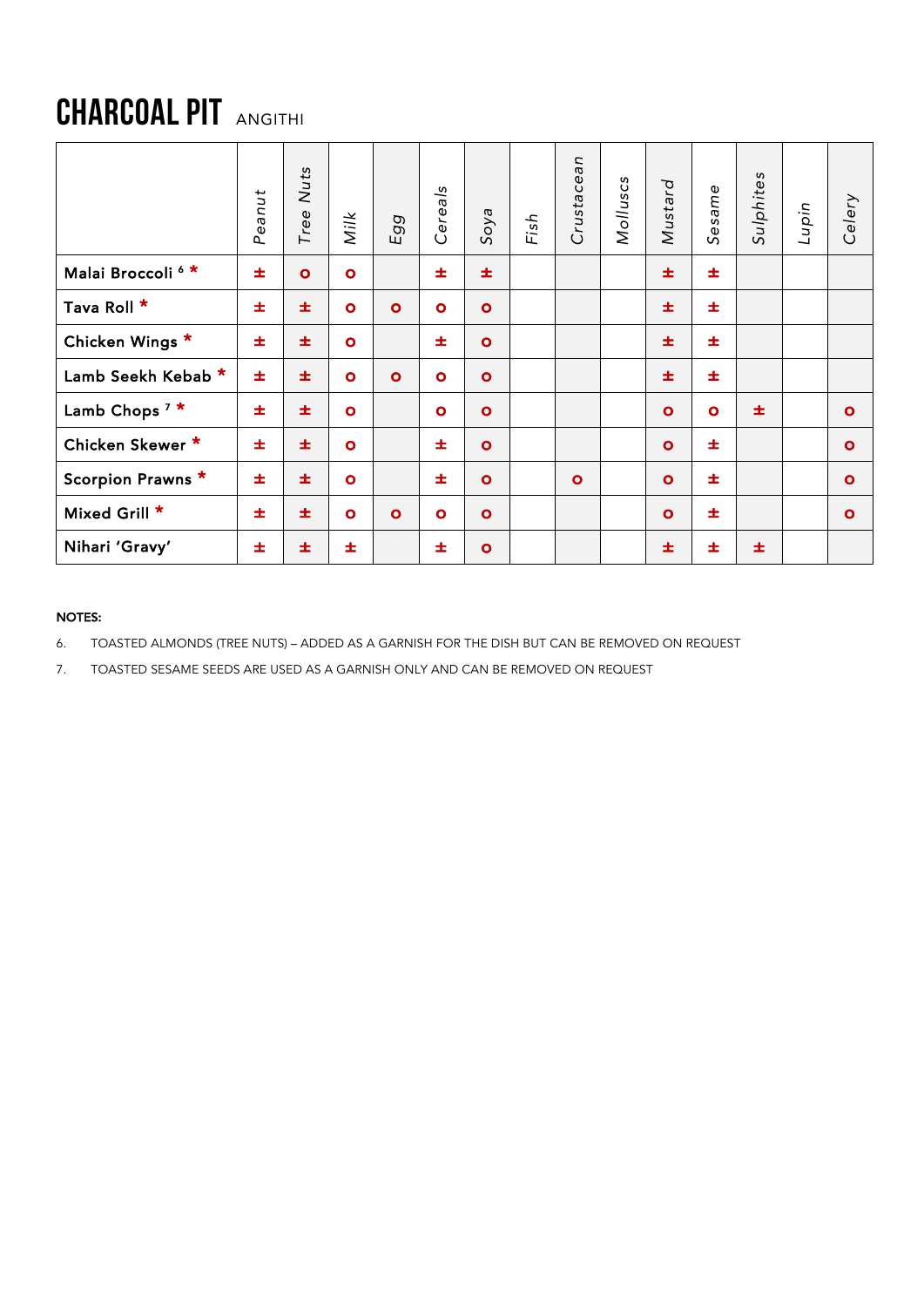# CHARCOAL PIT ANGITHI

|                              | Peanut | Nuts<br>Tree | Milk      | g<br>$\sigma$<br>ш | Cereals   | Soya         | Fish | Crustacean   | Molluscs | Mustard   | Sesame    | Sulphites | Lupin | Celery    |
|------------------------------|--------|--------------|-----------|--------------------|-----------|--------------|------|--------------|----------|-----------|-----------|-----------|-------|-----------|
| Malai Broccoli <sup>6*</sup> | 士      | $\bullet$    | $\bullet$ |                    | 士         | 士            |      |              |          | 士         | 士         |           |       |           |
| Tava Roll *                  | 士      | 士            | $\bullet$ | $\mathbf{o}$       | $\bullet$ | $\bullet$    |      |              |          | 士         | 士         |           |       |           |
| Chicken Wings *              | 士      | 士            | $\bullet$ |                    | 士         | $\bullet$    |      |              |          | 士         | 士         |           |       |           |
| Lamb Seekh Kebab *           | 士      | 士            | $\bullet$ | $\bullet$          | $\bullet$ | $\bullet$    |      |              |          | 士         | 士         |           |       |           |
| Lamb Chops <sup>7 *</sup>    | 士      | 士            | $\bullet$ |                    | $\bullet$ | $\bullet$    |      |              |          | $\bullet$ | $\bullet$ | 士         |       | $\bullet$ |
| Chicken Skewer *             | 士      | 士            | $\bullet$ |                    | 士         | $\bullet$    |      |              |          | $\bullet$ | 士         |           |       | $\bullet$ |
| Scorpion Prawns *            | 士      | 士            | $\bullet$ |                    | 士         | $\mathbf{o}$ |      | $\mathbf{o}$ |          | $\bullet$ | 士         |           |       | $\bullet$ |
| Mixed Grill *                | 士      | 士            | $\bullet$ | $\mathbf{o}$       | $\bullet$ | $\bullet$    |      |              |          | $\bullet$ | 士         |           |       | $\bullet$ |
| Nihari 'Gravy'               | ±      | 士            | 士         |                    | 士         | $\bullet$    |      |              |          | 士         | 士         | 士         |       |           |

### NOTES:

6. TOASTED ALMONDS (TREE NUTS) – ADDED AS A GARNISH FOR THE DISH BUT CAN BE REMOVED ON REQUEST

7. TOASTED SESAME SEEDS ARE USED AS A GARNISH ONLY AND CAN BE REMOVED ON REQUEST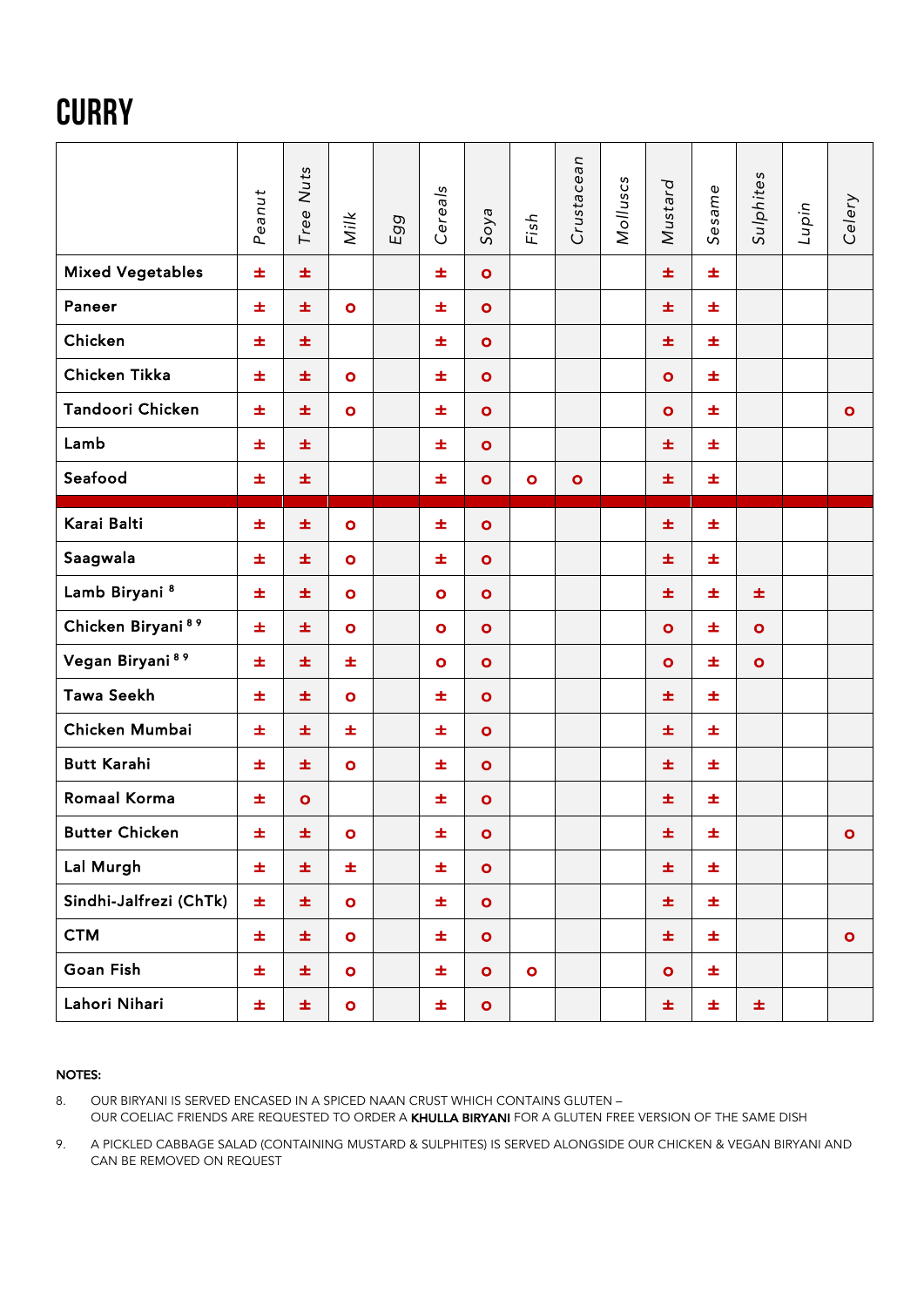# **CURRY**

|                               | Peanut | Tree Nuts | Milk      | Egg | Cereals   | Soya         | Fish      | Crustacean | Molluscs | Mustard   | Sesame | Sulphites | Lupin | Celery       |
|-------------------------------|--------|-----------|-----------|-----|-----------|--------------|-----------|------------|----------|-----------|--------|-----------|-------|--------------|
| <b>Mixed Vegetables</b>       | 士      | 士         |           |     | ±.        | $\bullet$    |           |            |          | ±.        | 士      |           |       |              |
| Paneer                        | ±.     | 士         | $\bullet$ |     | 士         | $\mathbf{o}$ |           |            |          | 士         | 士      |           |       |              |
| Chicken                       | 士      | 士         |           |     | 士         | $\bullet$    |           |            |          | 士         | 士      |           |       |              |
| Chicken Tikka                 | 士      | 士         | $\bullet$ |     | 士         | $\bullet$    |           |            |          | $\bullet$ | 士      |           |       |              |
| Tandoori Chicken              | 士      | 士         | $\bullet$ |     | 士         | $\bullet$    |           |            |          | $\bullet$ | 士      |           |       | $\bullet$    |
| Lamb                          | 士      | 士         |           |     | 士         | $\bullet$    |           |            |          | ±.        | 士      |           |       |              |
| Seafood                       | ±.     | 士         |           |     | 士         | $\bullet$    | $\bullet$ | $\bullet$  |          | 士         | ±.     |           |       |              |
| Karai Balti                   | 士      | 士         | $\bullet$ |     | 士         | $\bullet$    |           |            |          | ±.        | 士      |           |       |              |
| Saagwala                      | 士      | 士         | $\bullet$ |     | 士         | $\bullet$    |           |            |          | 士         | 士      |           |       |              |
| Lamb Biryani <sup>8</sup>     | 士      | 士         | $\bullet$ |     | $\bullet$ | $\bullet$    |           |            |          | ±.        | 士      | 士         |       |              |
| Chicken Biryani <sup>89</sup> | 士      | 士         | $\bullet$ |     | $\bullet$ | $\bullet$    |           |            |          | $\bullet$ | 士      | $\bullet$ |       |              |
| Vegan Biryani <sup>89</sup>   | 士      | 士         | 士         |     | $\bullet$ | $\bullet$    |           |            |          | $\bullet$ | 士      | $\bullet$ |       |              |
| <b>Tawa Seekh</b>             | 士      | 士         | $\bullet$ |     | 士         | $\bullet$    |           |            |          | ±.        | 士      |           |       |              |
| Chicken Mumbai                | 士      | 士         | ±.        |     | 士         | $\bullet$    |           |            |          | 士         | 士      |           |       |              |
| <b>Butt Karahi</b>            | 士      | 士         | $\bullet$ |     | 士         | $\bullet$    |           |            |          | 士         | 士      |           |       |              |
| Romaal Korma                  | 士      | $\bullet$ |           |     | ±         | $\bullet$    |           |            |          | ±.        | 士      |           |       |              |
| <b>Butter Chicken</b>         | ±.     | 士。        | $\bullet$ |     | 士         | $\bullet$    |           |            |          | 士         | ±.     |           |       | $\mathbf{o}$ |
| Lal Murgh                     | 士      | 士         | Ŧ,        |     | 士         | $\bullet$    |           |            |          | 士         | 士      |           |       |              |
| Sindhi-Jalfrezi (ChTk)        | Ŧ.     | 士         | $\bullet$ |     | 士         | $\bullet$    |           |            |          | ±.        | 士      |           |       |              |
| <b>CTM</b>                    | 士      | 士         | $\bullet$ |     | 士         | $\bullet$    |           |            |          | 士         | 士      |           |       | $\bullet$    |
| Goan Fish                     | ±.     | 士         | $\bullet$ |     | 士         | $\bullet$    | $\bullet$ |            |          | $\bullet$ | 士      |           |       |              |
| Lahori Nihari                 | ±.     | 士         | $\bullet$ |     | 士         | $\bullet$    |           |            |          | 士         | 士      | 士         |       |              |

#### NOTES:

8. OUR BIRYANI IS SERVED ENCASED IN A SPICED NAAN CRUST WHICH CONTAINS GLUTEN -OUR COELIAC FRIENDS ARE REQUESTED TO ORDER A KHULLA BIRYANI FOR A GLUTEN FREE VERSION OF THE SAME DISH

9. A PICKLED CABBAGE SALAD (CONTAINING MUSTARD & SULPHITES) IS SERVED ALONGSIDE OUR CHICKEN & VEGAN BIRYANI AND CAN BE REMOVED ON REQUEST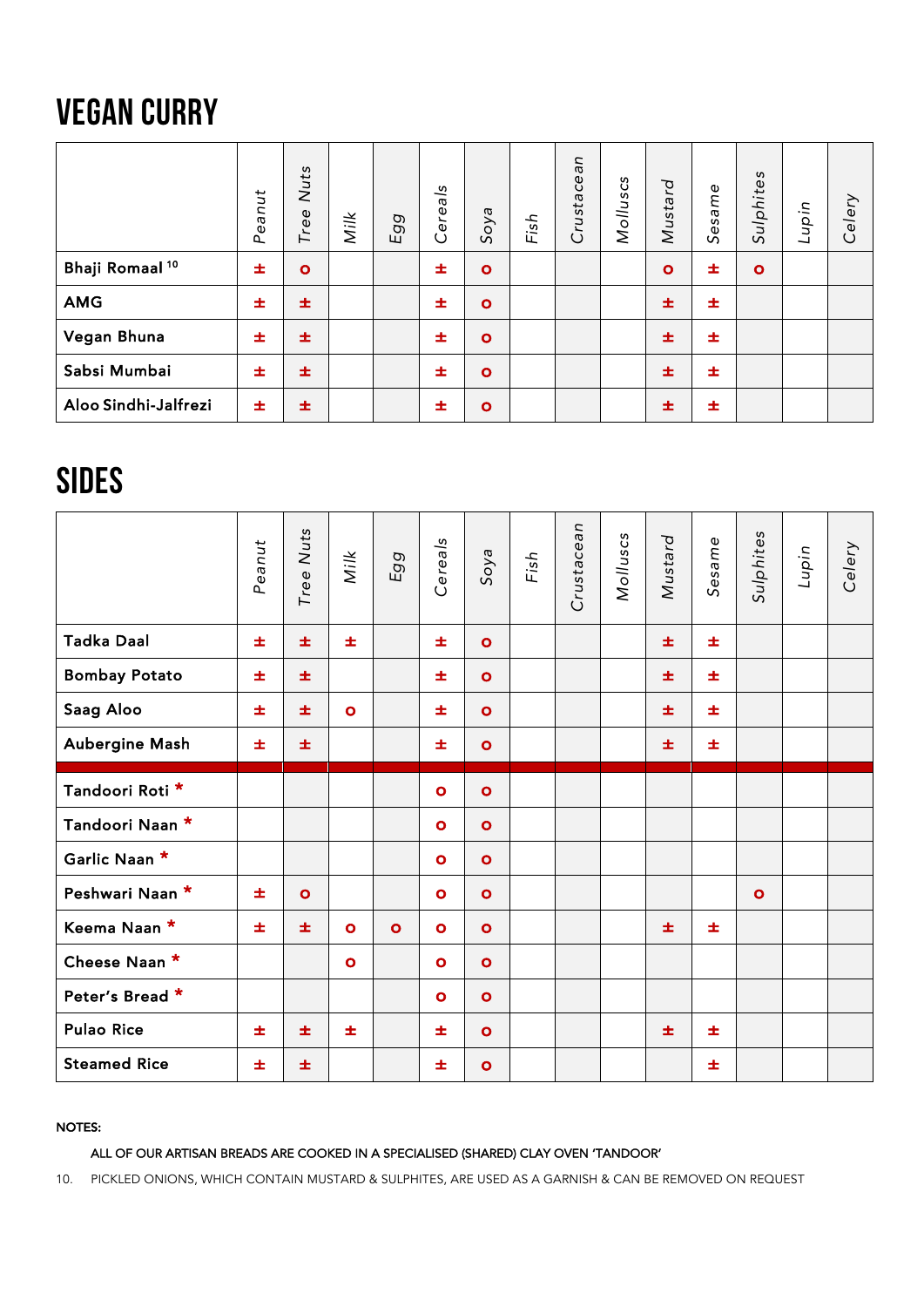## VEGAN CURRY

|                            | Peanut | Nuts<br>Tree | Milk | O)<br>$\sigma$<br>ш | Cereals | Soya      | Fish | Crustacean | Molluscs | Mustard   | Sesame | Sulphites    | Lupin | Celery |
|----------------------------|--------|--------------|------|---------------------|---------|-----------|------|------------|----------|-----------|--------|--------------|-------|--------|
| Bhaji Romaal <sup>10</sup> | 士      | $\bullet$    |      |                     | 士       | $\bullet$ |      |            |          | $\bullet$ | 士      | $\mathbf{o}$ |       |        |
| <b>AMG</b>                 | 士      | 士            |      |                     | 士       | $\bullet$ |      |            |          | 士         | 士      |              |       |        |
| Vegan Bhuna                | 士      | 士            |      |                     | 士       | $\bullet$ |      |            |          | 士         | 士      |              |       |        |
| Sabsi Mumbai               | 士      | 士            |      |                     | 士       | $\bullet$ |      |            |          | 士         | 士      |              |       |        |
| Aloo Sindhi-Jalfrezi       | 士      | 士            |      |                     | 士       | $\bullet$ |      |            |          | 士         | 士      |              |       |        |

## SIDES

|                      | Peanut | Tree Nuts | Milk         | Egg       | Cereals   | Soya         | Fish | Crustacean | Molluscs | Mustard | Sesame | Sulphites | Lupin | Celery |
|----------------------|--------|-----------|--------------|-----------|-----------|--------------|------|------------|----------|---------|--------|-----------|-------|--------|
| <b>Tadka Daal</b>    | 士      | 士         | 士            |           | 士         | $\mathbf{o}$ |      |            |          | 士       | 士      |           |       |        |
| <b>Bombay Potato</b> | 士      | 士         |              |           | 士         | $\bullet$    |      |            |          | 士       | 士      |           |       |        |
| Saag Aloo            | 士      | 士         | $\bullet$    |           | 士         | $\bullet$    |      |            |          | 士       | 士      |           |       |        |
| Aubergine Mash       | 士      | 士         |              |           | 士         | $\bullet$    |      |            |          | 士       | 士      |           |       |        |
| Tandoori Roti *      |        |           |              |           | $\bullet$ | $\bullet$    |      |            |          |         |        |           |       |        |
| Tandoori Naan *      |        |           |              |           | $\bullet$ | $\bullet$    |      |            |          |         |        |           |       |        |
| Garlic Naan *        |        |           |              |           | $\bullet$ | $\bullet$    |      |            |          |         |        |           |       |        |
| Peshwari Naan *      | 士      | $\bullet$ |              |           | $\bullet$ | $\bullet$    |      |            |          |         |        | $\bullet$ |       |        |
| Keema Naan *         | 士      | 士         | $\mathbf{o}$ | $\bullet$ | $\bullet$ | $\bullet$    |      |            |          | 士       | 士      |           |       |        |
| Cheese Naan *        |        |           | $\mathbf{o}$ |           | $\bullet$ | $\bullet$    |      |            |          |         |        |           |       |        |
| Peter's Bread *      |        |           |              |           | $\bullet$ | $\mathbf{o}$ |      |            |          |         |        |           |       |        |
| <b>Pulao Rice</b>    | 士      | 士         | 士            |           | 士         | $\mathbf{o}$ |      |            |          | 士       | 士      |           |       |        |
| <b>Steamed Rice</b>  | 士      | 士         |              |           | 士         | $\bullet$    |      |            |          |         | 士      |           |       |        |

### NOTES:

### ALL OF OUR ARTISAN BREADS ARE COOKED IN A SPECIALISED (SHARED) CLAY OVEN 'TANDOOR'

10. PICKLED ONIONS, WHICH CONTAIN MUSTARD & SULPHITES, ARE USED AS A GARNISH & CAN BE REMOVED ON REQUEST